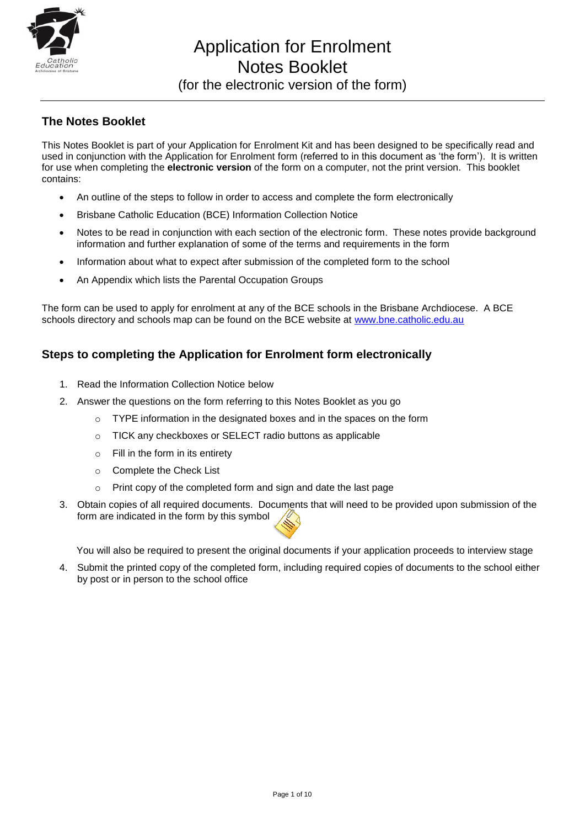

Application for Enrolment Notes Booklet (for the electronic version of the form)

## **The Notes Booklet**

This Notes Booklet is part of your Application for Enrolment Kit and has been designed to be specifically read and used in conjunction with the Application for Enrolment form (referred to in this document as 'the form'). It is written for use when completing the **electronic version** of the form on a computer, not the print version. This booklet contains:

- An outline of the steps to follow in order to access and complete the form electronically
- Brisbane Catholic Education (BCE) Information Collection Notice
- Notes to be read in conjunction with each section of the electronic form. These notes provide background information and further explanation of some of the terms and requirements in the form
- Information about what to expect after submission of the completed form to the school
- An Appendix which lists the Parental Occupation Groups

The form can be used to apply for enrolment at any of the BCE schools in the Brisbane Archdiocese. A BCE schools directory and schools map can be found on the BCE website at [www.bne.catholic.edu.au](http://www.bne.catholic.edu.au/)

### **Steps to completing the Application for Enrolment form electronically**

- 1. Read the Information Collection Notice below
- 2. Answer the questions on the form referring to this Notes Booklet as you go
	- $\circ$  TYPE information in the designated boxes and in the spaces on the form
	- o TICK any checkboxes or SELECT radio buttons as applicable
	- $\circ$  Fill in the form in its entirety
	- o Complete the Check List
	- o Print copy of the completed form and sign and date the last page
- 3. Obtain copies of all required documents. Documents that will need to be provided upon submission of the form are indicated in the form by this symbol

You will also be required to present the original documents if your application proceeds to interview stage

4. Submit the printed copy of the completed form, including required copies of documents to the school either by post or in person to the school office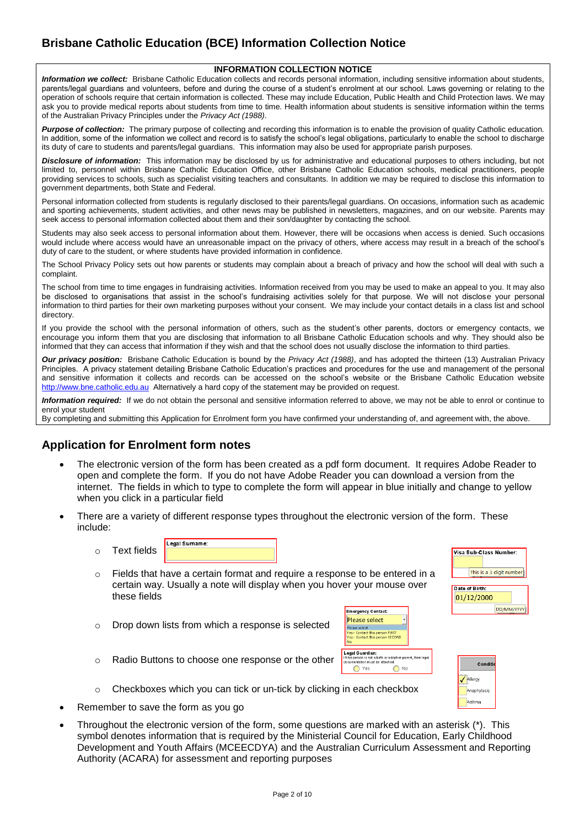# **Brisbane Catholic Education (BCE) Information Collection Notice**

#### **INFORMATION COLLECTION NOTICE**

*Information we collect:* Brisbane Catholic Education collects and records personal information, including sensitive information about students, parents/legal guardians and volunteers, before and during the course of a student's enrolment at our school. Laws governing or relating to the operation of schools require that certain information is collected. These may include Education, Public Health and Child Protection laws. We may ask you to provide medical reports about students from time to time. Health information about students is sensitive information within the terms of the Australian Privacy Principles under the *Privacy Act (1988)*.

**Purpose of collection:** The primary purpose of collecting and recording this information is to enable the provision of quality Catholic education. In addition, some of the information we collect and record is to satisfy the school's legal obligations, particularly to enable the school to discharge its duty of care to students and parents/legal guardians. This information may also be used for appropriate parish purposes.

*Disclosure of information:* This information may be disclosed by us for administrative and educational purposes to others including, but not limited to, personnel within Brisbane Catholic Education Office, other Brisbane Catholic Education schools, medical practitioners, people providing services to schools, such as specialist visiting teachers and consultants. In addition we may be required to disclose this information to government departments, both State and Federal.

Personal information collected from students is regularly disclosed to their parents/legal guardians. On occasions, information such as academic and sporting achievements, student activities, and other news may be published in newsletters, magazines, and on our website. Parents may seek access to personal information collected about them and their son/daughter by contacting the school.

Students may also seek access to personal information about them. However, there will be occasions when access is denied. Such occasions would include where access would have an unreasonable impact on the privacy of others, where access may result in a breach of the school's duty of care to the student, or where students have provided information in confidence.

The School Privacy Policy sets out how parents or students may complain about a breach of privacy and how the school will deal with such a complaint.

The school from time to time engages in fundraising activities. Information received from you may be used to make an appeal to you. It may also be disclosed to organisations that assist in the school's fundraising activities solely for that purpose. We will not disclose your personal information to third parties for their own marketing purposes without your consent. We may include your contact details in a class list and school directory.

If you provide the school with the personal information of others, such as the student's other parents, doctors or emergency contacts, we encourage you inform them that you are disclosing that information to all Brisbane Catholic Education schools and why. They should also be informed that they can access that information if they wish and that the school does not usually disclose the information to third parties.

*Our privacy position:* Brisbane Catholic Education is bound by the *Privacy Act (1988)*, and has adopted the thirteen (13) Australian Privacy Principles. A privacy statement detailing Brisbane Catholic Education's practices and procedures for the use and management of the personal and sensitive information it collects and records can be accessed on the school's website or the Brisbane Catholic Education website [http://www.bne.catholic.edu.au](http://www.bne.catholic.edu.au/) Alternatively a hard copy of the statement may be provided on request.

*Information required:* If we do not obtain the personal and sensitive information referred to above, we may not be able to enrol or continue to enrol your student

By completing and submitting this Application for Enrolment form you have confirmed your understanding of, and agreement with, the above.

#### **Application for Enrolment form notes**

- The electronic version of the form has been created as a pdf form document. It requires Adobe Reader to open and complete the form. If you do not have Adobe Reader you can download a version from the internet. The fields in which to type to complete the form will appear in blue initially and change to yellow when you click in a particular field
- There are a variety of different response types throughout the electronic version of the form. These include:

|   |             | Legal Sumame |
|---|-------------|--------------|
| ◠ | Text fields |              |

- $\circ$  Fields that have a certain format and require a response to be entered in a certain way. Usually a note will display when you hover your mouse over these fields
- o Drop down lists from which a response is selected





Visa Sub-Class Number:

Date of Birth 01/12/2000

This is a 3 digit number

DD/MM/YYYY

- o Radio Buttons to choose one response or the other
- o Checkboxes which you can tick or un-tick by clicking in each checkbox
- Remember to save the form as you go
- Throughout the electronic version of the form, some questions are marked with an asterisk (\*). This symbol denotes information that is required by the Ministerial Council for Education, Early Childhood Development and Youth Affairs (MCEECDYA) and the Australian Curriculum Assessment and Reporting Authority (ACARA) for assessment and reporting purposes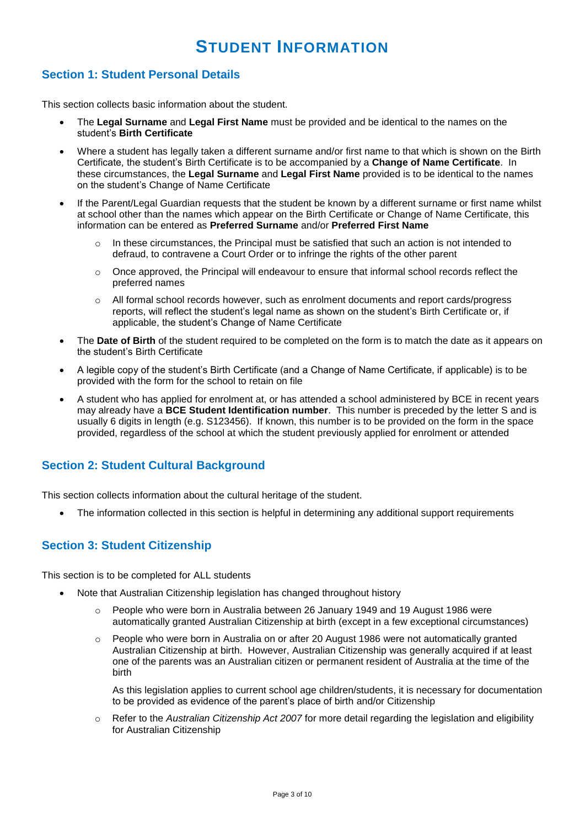# **STUDENT INFORMATION**

## **Section 1: Student Personal Details**

This section collects basic information about the student.

- The **Legal Surname** and **Legal First Name** must be provided and be identical to the names on the student's **Birth Certificate**
- Where a student has legally taken a different surname and/or first name to that which is shown on the Birth Certificate, the student's Birth Certificate is to be accompanied by a **Change of Name Certificate**. In these circumstances, the **Legal Surname** and **Legal First Name** provided is to be identical to the names on the student's Change of Name Certificate
- If the Parent/Legal Guardian requests that the student be known by a different surname or first name whilst at school other than the names which appear on the Birth Certificate or Change of Name Certificate, this information can be entered as **Preferred Surname** and/or **Preferred First Name**
	- $\circ$  In these circumstances, the Principal must be satisfied that such an action is not intended to defraud, to contravene a Court Order or to infringe the rights of the other parent
	- $\circ$  Once approved, the Principal will endeavour to ensure that informal school records reflect the preferred names
	- All formal school records however, such as enrolment documents and report cards/progress reports, will reflect the student's legal name as shown on the student's Birth Certificate or, if applicable, the student's Change of Name Certificate
- The **Date of Birth** of the student required to be completed on the form is to match the date as it appears on the student's Birth Certificate
- A legible copy of the student's Birth Certificate (and a Change of Name Certificate, if applicable) is to be provided with the form for the school to retain on file
- A student who has applied for enrolment at, or has attended a school administered by BCE in recent years may already have a **BCE Student Identification number**. This number is preceded by the letter S and is usually 6 digits in length (e.g. S123456). If known, this number is to be provided on the form in the space provided, regardless of the school at which the student previously applied for enrolment or attended

### **Section 2: Student Cultural Background**

This section collects information about the cultural heritage of the student.

The information collected in this section is helpful in determining any additional support requirements

### **Section 3: Student Citizenship**

This section is to be completed for ALL students

- Note that Australian Citizenship legislation has changed throughout history
	- $\circ$  People who were born in Australia between 26 January 1949 and 19 August 1986 were automatically granted Australian Citizenship at birth (except in a few exceptional circumstances)
	- o People who were born in Australia on or after 20 August 1986 were not automatically granted Australian Citizenship at birth. However, Australian Citizenship was generally acquired if at least one of the parents was an Australian citizen or permanent resident of Australia at the time of the birth

As this legislation applies to current school age children/students, it is necessary for documentation to be provided as evidence of the parent's place of birth and/or Citizenship

o Refer to the *Australian Citizenship Act 2007* for more detail regarding the legislation and eligibility for Australian Citizenship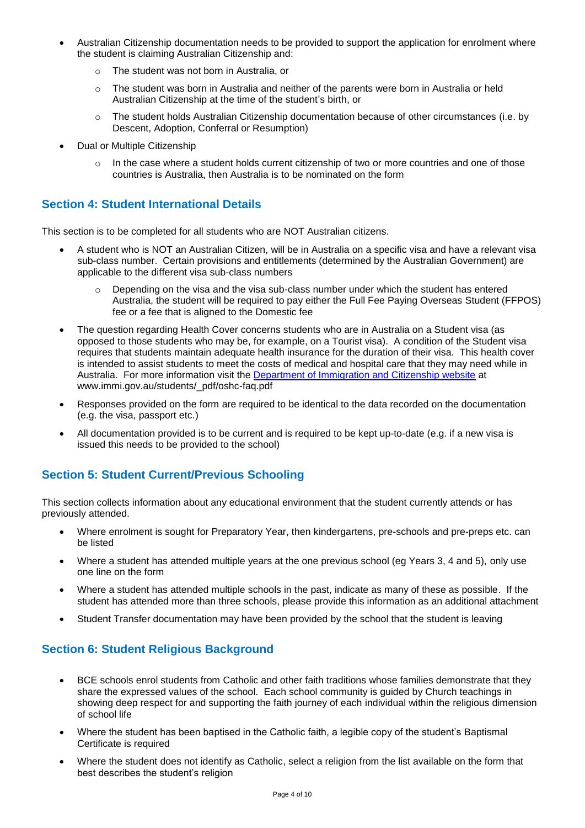- Australian Citizenship documentation needs to be provided to support the application for enrolment where the student is claiming Australian Citizenship and:
	- o The student was not born in Australia, or
	- $\circ$  The student was born in Australia and neither of the parents were born in Australia or held Australian Citizenship at the time of the student's birth, or
	- $\circ$  The student holds Australian Citizenship documentation because of other circumstances (i.e. by Descent, Adoption, Conferral or Resumption)
- Dual or Multiple Citizenship
	- $\circ$  In the case where a student holds current citizenship of two or more countries and one of those countries is Australia, then Australia is to be nominated on the form

### **Section 4: Student International Details**

This section is to be completed for all students who are NOT Australian citizens.

- A student who is NOT an Australian Citizen, will be in Australia on a specific visa and have a relevant visa sub-class number. Certain provisions and entitlements (determined by the Australian Government) are applicable to the different visa sub-class numbers
	- Depending on the visa and the visa sub-class number under which the student has entered Australia, the student will be required to pay either the Full Fee Paying Overseas Student (FFPOS) fee or a fee that is aligned to the Domestic fee
- The question regarding Health Cover concerns students who are in Australia on a Student visa (as opposed to those students who may be, for example, on a Tourist visa). A condition of the Student visa requires that students maintain adequate health insurance for the duration of their visa. This health cover is intended to assist students to meet the costs of medical and hospital care that they may need while in Australia. For more information visit the [Department of Immigration and Citizenship website](http://www.immi.gov.au/students/_pdf/oshc-faq.pdf) at www.immi.gov.au/students/\_pdf/oshc-faq.pdf
- Responses provided on the form are required to be identical to the data recorded on the documentation (e.g. the visa, passport etc.)
- All documentation provided is to be current and is required to be kept up-to-date (e.g. if a new visa is issued this needs to be provided to the school)

# **Section 5: Student Current/Previous Schooling**

This section collects information about any educational environment that the student currently attends or has previously attended.

- Where enrolment is sought for Preparatory Year, then kindergartens, pre-schools and pre-preps etc. can be listed
- Where a student has attended multiple years at the one previous school (eq Years 3, 4 and 5), only use one line on the form
- Where a student has attended multiple schools in the past, indicate as many of these as possible. If the student has attended more than three schools, please provide this information as an additional attachment
- Student Transfer documentation may have been provided by the school that the student is leaving

### **Section 6: Student Religious Background**

- BCE schools enrol students from Catholic and other faith traditions whose families demonstrate that they share the expressed values of the school. Each school community is guided by Church teachings in showing deep respect for and supporting the faith journey of each individual within the religious dimension of school life
- Where the student has been baptised in the Catholic faith, a legible copy of the student's Baptismal Certificate is required
- Where the student does not identify as Catholic, select a religion from the list available on the form that best describes the student's religion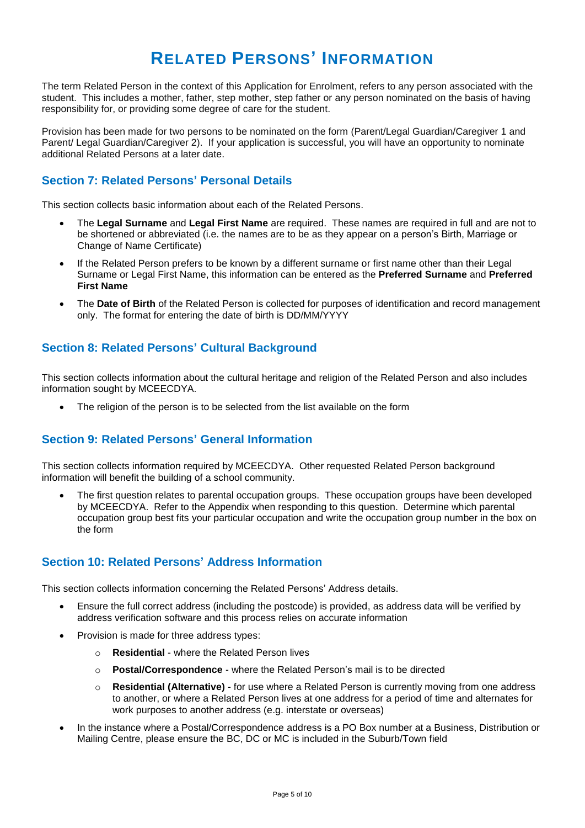# **RELATED PERSONS' INFORMATION**

The term Related Person in the context of this Application for Enrolment, refers to any person associated with the student. This includes a mother, father, step mother, step father or any person nominated on the basis of having responsibility for, or providing some degree of care for the student.

Provision has been made for two persons to be nominated on the form (Parent/Legal Guardian/Caregiver 1 and Parent/ Legal Guardian/Caregiver 2). If your application is successful, you will have an opportunity to nominate additional Related Persons at a later date.

## **Section 7: Related Persons' Personal Details**

This section collects basic information about each of the Related Persons.

- The **Legal Surname** and **Legal First Name** are required. These names are required in full and are not to be shortened or abbreviated (i.e. the names are to be as they appear on a person's Birth, Marriage or Change of Name Certificate)
- If the Related Person prefers to be known by a different surname or first name other than their Legal Surname or Legal First Name, this information can be entered as the **Preferred Surname** and **Preferred First Name**
- The **Date of Birth** of the Related Person is collected for purposes of identification and record management only. The format for entering the date of birth is DD/MM/YYYY

### **Section 8: Related Persons' Cultural Background**

This section collects information about the cultural heritage and religion of the Related Person and also includes information sought by MCEECDYA.

The religion of the person is to be selected from the list available on the form

# **Section 9: Related Persons' General Information**

This section collects information required by MCEECDYA. Other requested Related Person background information will benefit the building of a school community.

 The first question relates to parental occupation groups. These occupation groups have been developed by MCEECDYA. Refer to the Appendix when responding to this question. Determine which parental occupation group best fits your particular occupation and write the occupation group number in the box on the form

### **Section 10: Related Persons' Address Information**

This section collects information concerning the Related Persons' Address details.

- Ensure the full correct address (including the postcode) is provided, as address data will be verified by address verification software and this process relies on accurate information
- Provision is made for three address types:
	- o **Residential** where the Related Person lives
	- o **Postal/Correspondence** where the Related Person's mail is to be directed
	- o **Residential (Alternative)** for use where a Related Person is currently moving from one address to another, or where a Related Person lives at one address for a period of time and alternates for work purposes to another address (e.g. interstate or overseas)
- In the instance where a Postal/Correspondence address is a PO Box number at a Business, Distribution or Mailing Centre, please ensure the BC, DC or MC is included in the Suburb/Town field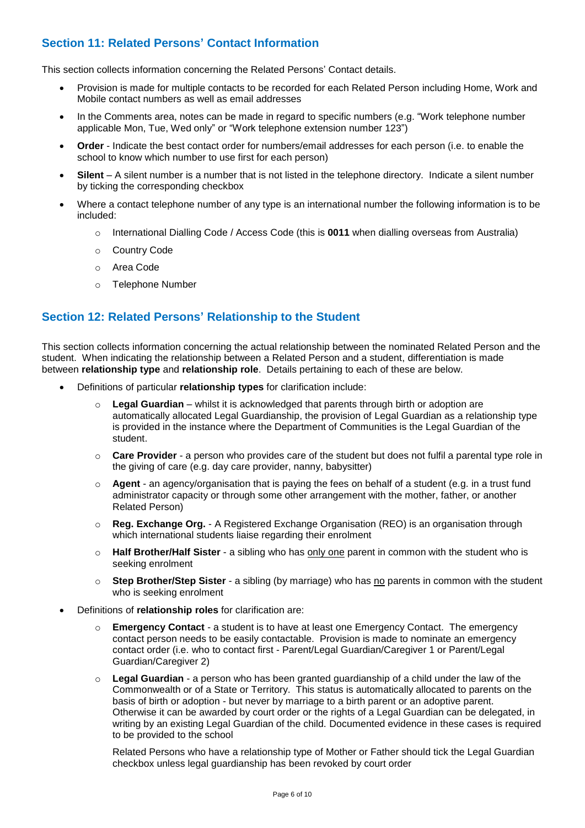# **Section 11: Related Persons' Contact Information**

This section collects information concerning the Related Persons' Contact details.

- Provision is made for multiple contacts to be recorded for each Related Person including Home, Work and Mobile contact numbers as well as email addresses
- In the Comments area, notes can be made in regard to specific numbers (e.g. "Work telephone number applicable Mon, Tue, Wed only" or "Work telephone extension number 123")
- **Order** Indicate the best contact order for numbers/email addresses for each person (i.e. to enable the school to know which number to use first for each person)
- **Silent** A silent number is a number that is not listed in the telephone directory. Indicate a silent number by ticking the corresponding checkbox
- Where a contact telephone number of any type is an international number the following information is to be included:
	- o International Dialling Code / Access Code (this is **0011** when dialling overseas from Australia)
	- o Country Code
	- o Area Code
	- o Telephone Number

## **Section 12: Related Persons' Relationship to the Student**

This section collects information concerning the actual relationship between the nominated Related Person and the student. When indicating the relationship between a Related Person and a student, differentiation is made between **relationship type** and **relationship role**. Details pertaining to each of these are below.

- Definitions of particular **relationship types** for clarification include:
	- o **Legal Guardian** whilst it is acknowledged that parents through birth or adoption are automatically allocated Legal Guardianship, the provision of Legal Guardian as a relationship type is provided in the instance where the Department of Communities is the Legal Guardian of the student.
	- **Care Provider** a person who provides care of the student but does not fulfil a parental type role in the giving of care (e.g. day care provider, nanny, babysitter)
	- o **Agent** an agency/organisation that is paying the fees on behalf of a student (e.g. in a trust fund administrator capacity or through some other arrangement with the mother, father, or another Related Person)
	- o **Reg. Exchange Org.** A Registered Exchange Organisation (REO) is an organisation through which international students liaise regarding their enrolment
	- o **Half Brother/Half Sister** a sibling who has only one parent in common with the student who is seeking enrolment
	- o **Step Brother/Step Sister** a sibling (by marriage) who has no parents in common with the student who is seeking enrolment
- Definitions of **relationship roles** for clarification are:
	- o **Emergency Contact** a student is to have at least one Emergency Contact. The emergency contact person needs to be easily contactable. Provision is made to nominate an emergency contact order (i.e. who to contact first - Parent/Legal Guardian/Caregiver 1 or Parent/Legal Guardian/Caregiver 2)
	- o **Legal Guardian** a person who has been granted [guardianship](http://www.austlii.edu.au/au/legis/cth/consol_act/fla1975114/s4.html#guardian) of a [child](http://www.austlii.edu.au/au/legis/cth/consol_act/fla1975114/s4.html#child) under the law of the Commonwealth or of a [State](http://www.austlii.edu.au/au/legis/cth/consol_act/fla1975114/s4.html#state) or [Territory.](http://www.austlii.edu.au/au/legis/cth/consol_act/fla1975114/s4.html#territory) This status is automatically allocated to parents on the basis of birth or adoption - but never by marriage to a birth parent or an adoptive parent. Otherwise it can be awarded by court order or the rights of a Legal Guardian can be delegated, in writing by an existing Legal Guardian of the child. Documented evidence in these cases is required to be provided to the school

Related Persons who have a relationship type of Mother or Father should tick the Legal Guardian checkbox unless legal guardianship has been revoked by court order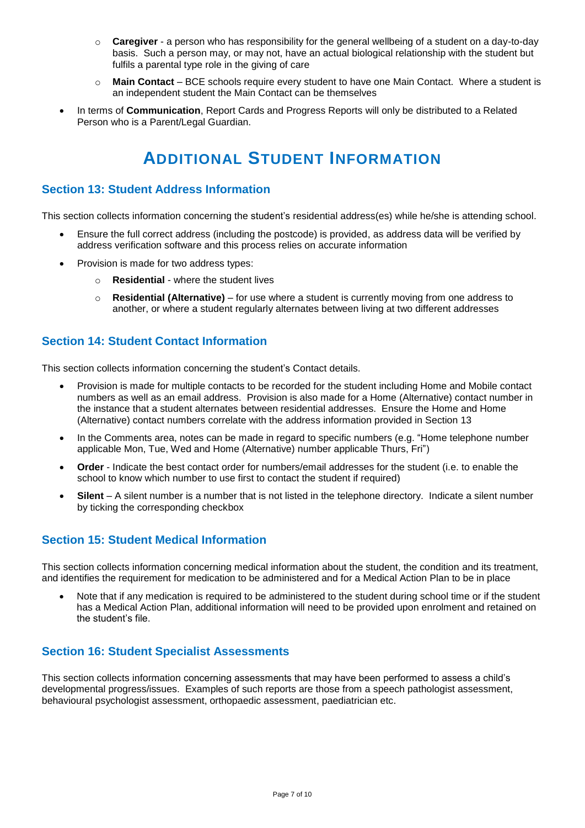- o **Caregiver** a person who has responsibility for the general wellbeing of a student on a day-to-day basis. Such a person may, or may not, have an actual biological relationship with the student but fulfils a parental type role in the giving of care
- o **Main Contact** BCE schools require every student to have one Main Contact. Where a student is an independent student the Main Contact can be themselves
- In terms of **Communication**, Report Cards and Progress Reports will only be distributed to a Related Person who is a Parent/Legal Guardian.

# **ADDITIONAL STUDENT INFORMATION**

### **Section 13: Student Address Information**

This section collects information concerning the student's residential address(es) while he/she is attending school.

- Ensure the full correct address (including the postcode) is provided, as address data will be verified by address verification software and this process relies on accurate information
- Provision is made for two address types:
	- o **Residential** where the student lives
	- o **Residential (Alternative)** for use where a student is currently moving from one address to another, or where a student regularly alternates between living at two different addresses

#### **Section 14: Student Contact Information**

This section collects information concerning the student's Contact details.

- Provision is made for multiple contacts to be recorded for the student including Home and Mobile contact numbers as well as an email address. Provision is also made for a Home (Alternative) contact number in the instance that a student alternates between residential addresses. Ensure the Home and Home (Alternative) contact numbers correlate with the address information provided in Section 13
- In the Comments area, notes can be made in regard to specific numbers (e.g. "Home telephone number applicable Mon, Tue, Wed and Home (Alternative) number applicable Thurs, Fri")
- **Order** Indicate the best contact order for numbers/email addresses for the student (i.e. to enable the school to know which number to use first to contact the student if required)
- **Silent** A silent number is a number that is not listed in the telephone directory. Indicate a silent number by ticking the corresponding checkbox

#### **Section 15: Student Medical Information**

This section collects information concerning medical information about the student, the condition and its treatment, and identifies the requirement for medication to be administered and for a Medical Action Plan to be in place

 Note that if any medication is required to be administered to the student during school time or if the student has a Medical Action Plan, additional information will need to be provided upon enrolment and retained on the student's file.

### **Section 16: Student Specialist Assessments**

This section collects information concerning assessments that may have been performed to assess a child's developmental progress/issues. Examples of such reports are those from a speech pathologist assessment, behavioural psychologist assessment, orthopaedic assessment, paediatrician etc.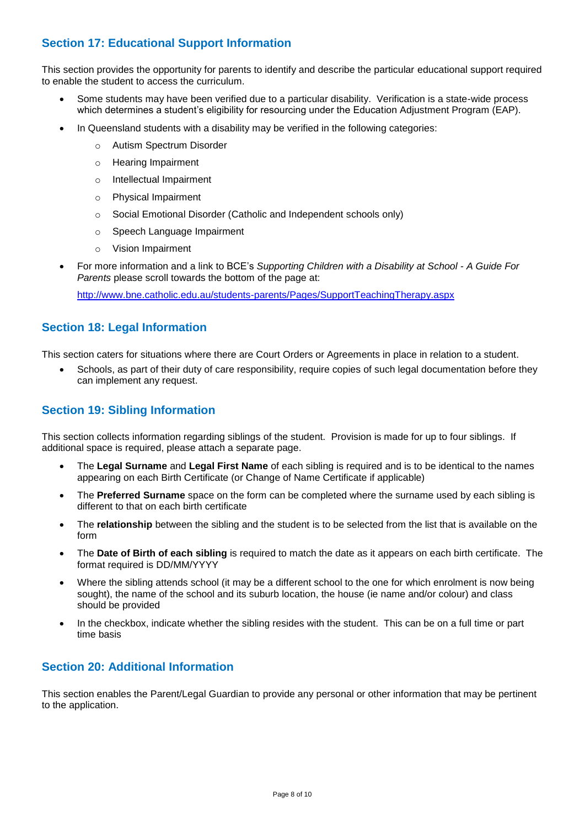# **Section 17: Educational Support Information**

This section provides the opportunity for parents to identify and describe the particular educational support required to enable the student to access the curriculum.

- Some students may have been verified due to a particular disability. Verification is a state-wide process which determines a student's eligibility for resourcing under the Education Adjustment Program (EAP).
- In Queensland students with a disability may be verified in the following categories:
	- o Autism Spectrum Disorder
	- o Hearing Impairment
	- o Intellectual Impairment
	- o Physical Impairment
	- o Social Emotional Disorder (Catholic and Independent schools only)
	- o Speech Language Impairment
	- o Vision Impairment
- For more information and a link to BCE's *Supporting Children with a Disability at School - A Guide For Parents* please scroll towards the bottom of the page at:

<http://www.bne.catholic.edu.au/students-parents/Pages/SupportTeachingTherapy.aspx>

#### **Section 18: Legal Information**

This section caters for situations where there are Court Orders or Agreements in place in relation to a student.

 Schools, as part of their duty of care responsibility, require copies of such legal documentation before they can implement any request.

#### **Section 19: Sibling Information**

This section collects information regarding siblings of the student. Provision is made for up to four siblings. If additional space is required, please attach a separate page.

- The **Legal Surname** and **Legal First Name** of each sibling is required and is to be identical to the names appearing on each Birth Certificate (or Change of Name Certificate if applicable)
- The **Preferred Surname** space on the form can be completed where the surname used by each sibling is different to that on each birth certificate
- The **relationship** between the sibling and the student is to be selected from the list that is available on the form
- The **Date of Birth of each sibling** is required to match the date as it appears on each birth certificate. The format required is DD/MM/YYYY
- Where the sibling attends school (it may be a different school to the one for which enrolment is now being sought), the name of the school and its suburb location, the house (ie name and/or colour) and class should be provided
- In the checkbox, indicate whether the sibling resides with the student. This can be on a full time or part time basis

## **Section 20: Additional Information**

This section enables the Parent/Legal Guardian to provide any personal or other information that may be pertinent to the application.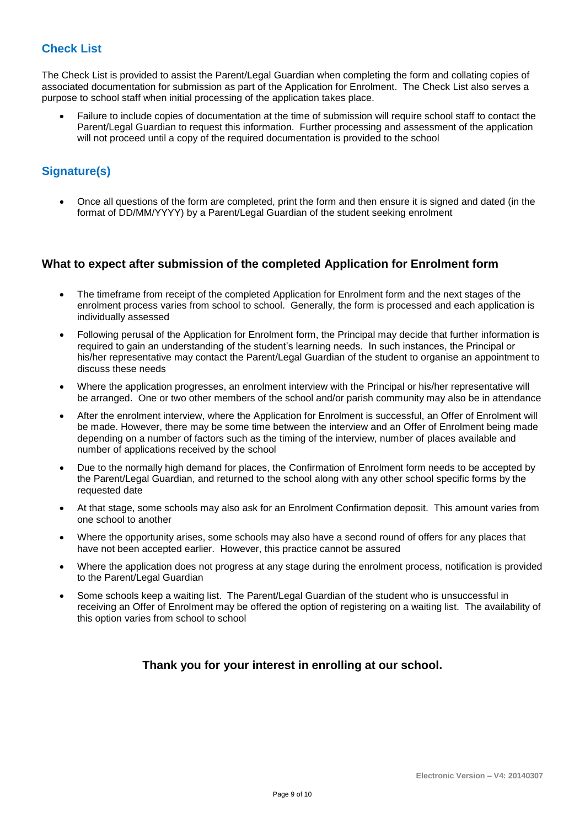## **Check List**

The Check List is provided to assist the Parent/Legal Guardian when completing the form and collating copies of associated documentation for submission as part of the Application for Enrolment. The Check List also serves a purpose to school staff when initial processing of the application takes place.

 Failure to include copies of documentation at the time of submission will require school staff to contact the Parent/Legal Guardian to request this information. Further processing and assessment of the application will not proceed until a copy of the required documentation is provided to the school

# **Signature(s)**

 Once all questions of the form are completed, print the form and then ensure it is signed and dated (in the format of DD/MM/YYYY) by a Parent/Legal Guardian of the student seeking enrolment

#### **What to expect after submission of the completed Application for Enrolment form**

- The timeframe from receipt of the completed Application for Enrolment form and the next stages of the enrolment process varies from school to school. Generally, the form is processed and each application is individually assessed
- Following perusal of the Application for Enrolment form, the Principal may decide that further information is required to gain an understanding of the student's learning needs. In such instances, the Principal or his/her representative may contact the Parent/Legal Guardian of the student to organise an appointment to discuss these needs
- Where the application progresses, an enrolment interview with the Principal or his/her representative will be arranged. One or two other members of the school and/or parish community may also be in attendance
- After the enrolment interview, where the Application for Enrolment is successful, an Offer of Enrolment will be made. However, there may be some time between the interview and an Offer of Enrolment being made depending on a number of factors such as the timing of the interview, number of places available and number of applications received by the school
- Due to the normally high demand for places, the Confirmation of Enrolment form needs to be accepted by the Parent/Legal Guardian, and returned to the school along with any other school specific forms by the requested date
- At that stage, some schools may also ask for an Enrolment Confirmation deposit. This amount varies from one school to another
- Where the opportunity arises, some schools may also have a second round of offers for any places that have not been accepted earlier. However, this practice cannot be assured
- Where the application does not progress at any stage during the enrolment process, notification is provided to the Parent/Legal Guardian
- Some schools keep a waiting list. The Parent/Legal Guardian of the student who is unsuccessful in receiving an Offer of Enrolment may be offered the option of registering on a waiting list. The availability of this option varies from school to school

### **Thank you for your interest in enrolling at our school.**